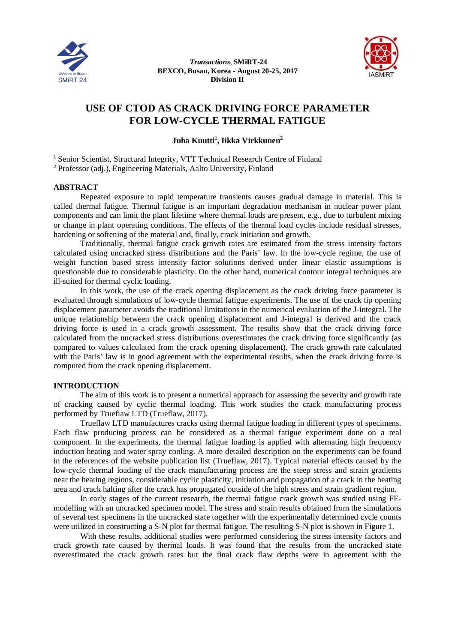

 *Transactions*, **SMiRT-24 BEXCO, Busan, Korea - August 20-25, 2017 Division II**



# **USE OF CTOD AS CRACK DRIVING FORCE PARAMETER FOR LOW-CYCLE THERMAL FATIGUE**

**Juha Kuutti<sup>1</sup> , Iikka Virkkunen<sup>2</sup>**

<sup>1</sup> Senior Scientist, Structural Integrity, VTT Technical Research Centre of Finland

<sup>2</sup> Professor (adj.), Engineering Materials, Aalto University, Finland

# **ABSTRACT**

Repeated exposure to rapid temperature transients causes gradual damage in material. This is called thermal fatigue. Thermal fatigue is an important degradation mechanism in nuclear power plant components and can limit the plant lifetime where thermal loads are present, e.g., due to turbulent mixing or change in plant operating conditions. The effects of the thermal load cycles include residual stresses, hardening or softening of the material and, finally, crack initiation and growth.

Traditionally, thermal fatigue crack growth rates are estimated from the stress intensity factors calculated using uncracked stress distributions and the Paris' law. In the low-cycle regime, the use of weight function based stress intensity factor solutions derived under linear elastic assumptions is questionable due to considerable plasticity. On the other hand, numerical contour integral techniques are ill-suited for thermal cyclic loading.

In this work, the use of the crack opening displacement as the crack driving force parameter is evaluated through simulations of low-cycle thermal fatigue experiments. The use of the crack tip opening displacement parameter avoids the traditional limitations in the numerical evaluation of the J-integral. The unique relationship between the crack opening displacement and J-integral is derived and the crack driving force is used in a crack growth assessment. The results show that the crack driving force calculated from the uncracked stress distributions overestimates the crack driving force significantly (as compared to values calculated from the crack opening displacement). The crack growth rate calculated with the Paris' law is in good agreement with the experimental results, when the crack driving force is computed from the crack opening displacement.

#### **INTRODUCTION**

The aim of this work is to present a numerical approach for assessing the severity and growth rate of cracking caused by cyclic thermal loading. This work studies the crack manufacturing process performed by Trueflaw LTD (Trueflaw, 2017).

Trueflaw LTD manufactures cracks using thermal fatigue loading in different types of specimens. Each flaw producing process can be considered as a thermal fatigue experiment done on a real component. In the experiments, the thermal fatigue loading is applied with alternating high frequency induction heating and water spray cooling. A more detailed description on the experiments can be found in the references of the website publication list (Trueflaw, 2017). Typical material effects caused by the low-cycle thermal loading of the crack manufacturing process are the steep stress and strain gradients near the heating regions, considerable cyclic plasticity, initiation and propagation of a crack in the heating area and crack halting after the crack has propagated outside of the high stress and strain gradient region.

In early stages of the current research, the thermal fatigue crack growth was studied using FEmodelling with an uncracked specimen model. The stress and strain results obtained from the simulations of several test specimens in the uncracked state together with the experimentally determined cycle counts were utilized in constructing a S-N plot for thermal fatigue. The resulting S-N plot is shown in Figure 1.

With these results, additional studies were performed considering the stress intensity factors and crack growth rate caused by thermal loads. It was found that the results from the uncracked state overestimated the crack growth rates but the final crack flaw depths were in agreement with the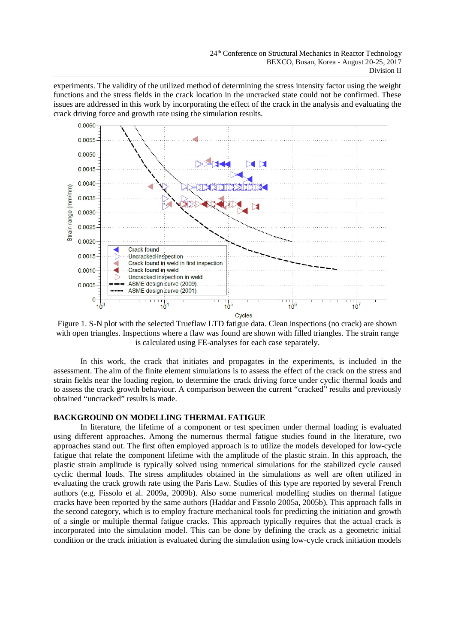experiments. The validity of the utilized method of determining the stress intensity factor using the weight functions and the stress fields in the crack location in the uncracked state could not be confirmed. These issues are addressed in this work by incorporating the effect of the crack in the analysis and evaluating the crack driving force and growth rate using the simulation results.



Figure 1. S-N plot with the selected Trueflaw LTD fatigue data. Clean inspections (no crack) are shown with open triangles. Inspections where a flaw was found are shown with filled triangles. The strain range is calculated using FE-analyses for each case separately.

In this work, the crack that initiates and propagates in the experiments, is included in the assessment. The aim of the finite element simulations is to assess the effect of the crack on the stress and strain fields near the loading region, to determine the crack driving force under cyclic thermal loads and to assess the crack growth behaviour. A comparison between the current "cracked" results and previously obtained "uncracked" results is made.

# **BACKGROUND ON MODELLING THERMAL FATIGUE**

In literature, the lifetime of a component or test specimen under thermal loading is evaluated using different approaches. Among the numerous thermal fatigue studies found in the literature, two approaches stand out. The first often employed approach is to utilize the models developed for low-cycle fatigue that relate the component lifetime with the amplitude of the plastic strain. In this approach, the plastic strain amplitude is typically solved using numerical simulations for the stabilized cycle caused cyclic thermal loads. The stress amplitudes obtained in the simulations as well are often utilized in evaluating the crack growth rate using the Paris Law. Studies of this type are reported by several French authors (e.g. Fissolo et al. 2009a, 2009b). Also some numerical modelling studies on thermal fatigue cracks have been reported by the same authors (Haddar and Fissolo 2005a, 2005b). This approach falls in the second category, which is to employ fracture mechanical tools for predicting the initiation and growth of a single or multiple thermal fatigue cracks. This approach typically requires that the actual crack is incorporated into the simulation model. This can be done by defining the crack as a geometric initial condition or the crack initiation is evaluated during the simulation using low-cycle crack initiation models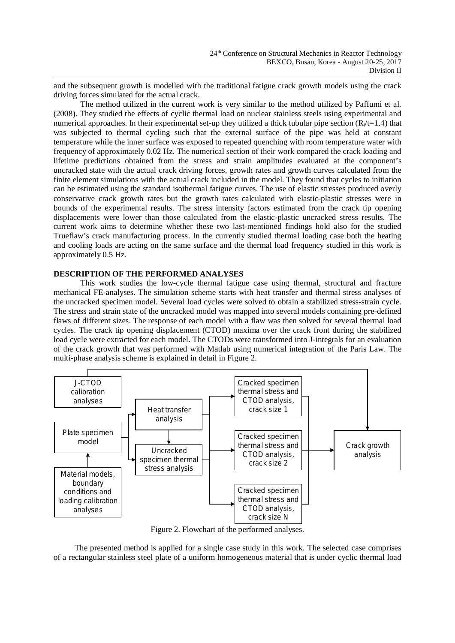and the subsequent growth is modelled with the traditional fatigue crack growth models using the crack driving forces simulated for the actual crack.

The method utilized in the current work is very similar to the method utilized by Paffumi et al. (2008). They studied the effects of cyclic thermal load on nuclear stainless steels using experimental and numerical approaches. In their experimental set-up they utilized a thick tubular pipe section  $(R/t=1.4)$  that was subjected to thermal cycling such that the external surface of the pipe was held at constant temperature while the inner surface was exposed to repeated quenching with room temperature water with frequency of approximately 0.02 Hz. The numerical section of their work compared the crack loading and lifetime predictions obtained from the stress and strain amplitudes evaluated at the component's uncracked state with the actual crack driving forces, growth rates and growth curves calculated from the finite element simulations with the actual crack included in the model. They found that cycles to initiation can be estimated using the standard isothermal fatigue curves. The use of elastic stresses produced overly conservative crack growth rates but the growth rates calculated with elastic-plastic stresses were in bounds of the experimental results. The stress intensity factors estimated from the crack tip opening displacements were lower than those calculated from the elastic-plastic uncracked stress results. The current work aims to determine whether these two last-mentioned findings hold also for the studied Trueflaw's crack manufacturing process. In the currently studied thermal loading case both the heating and cooling loads are acting on the same surface and the thermal load frequency studied in this work is approximately 0.5 Hz.

# **DESCRIPTION OF THE PERFORMED ANALYSES**

This work studies the low-cycle thermal fatigue case using thermal, structural and fracture mechanical FE-analyses. The simulation scheme starts with heat transfer and thermal stress analyses of the uncracked specimen model. Several load cycles were solved to obtain a stabilized stress-strain cycle. The stress and strain state of the uncracked model was mapped into several models containing pre-defined flaws of different sizes. The response of each model with a flaw was then solved for several thermal load cycles. The crack tip opening displacement (CTOD) maxima over the crack front during the stabilized load cycle were extracted for each model. The CTODs were transformed into J-integrals for an evaluation of the crack growth that was performed with Matlab using numerical integration of the Paris Law. The multi-phase analysis scheme is explained in detail in Figure 2.



Figure 2. Flowchart of the performed analyses.

The presented method is applied for a single case study in this work. The selected case comprises of a rectangular stainless steel plate of a uniform homogeneous material that is under cyclic thermal load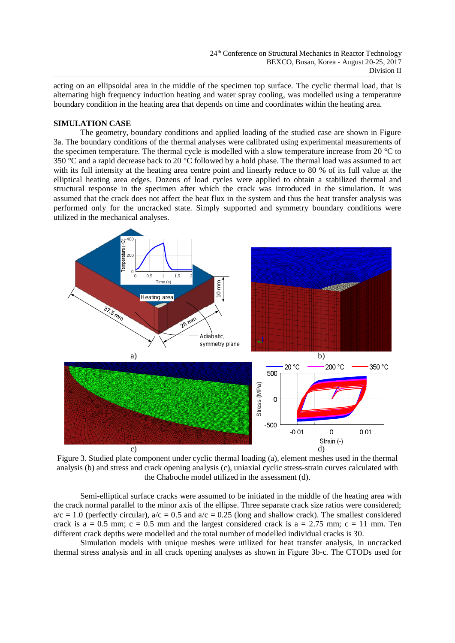acting on an ellipsoidal area in the middle of the specimen top surface. The cyclic thermal load, that is alternating high frequency induction heating and water spray cooling, was modelled using a temperature boundary condition in the heating area that depends on time and coordinates within the heating area.

# **SIMULATION CASE**

The geometry, boundary conditions and applied loading of the studied case are shown in Figure 3a. The boundary conditions of the thermal analyses were calibrated using experimental measurements of the specimen temperature. The thermal cycle is modelled with a slow temperature increase from 20 °C to 350 °C and a rapid decrease back to 20 °C followed by a hold phase. The thermal load was assumed to act with its full intensity at the heating area centre point and linearly reduce to 80 % of its full value at the elliptical heating area edges. Dozens of load cycles were applied to obtain a stabilized thermal and structural response in the specimen after which the crack was introduced in the simulation. It was assumed that the crack does not affect the heat flux in the system and thus the heat transfer analysis was performed only for the uncracked state. Simply supported and symmetry boundary conditions were utilized in the mechanical analyses.



Figure 3. Studied plate component under cyclic thermal loading (a), element meshes used in the thermal analysis (b) and stress and crack opening analysis (c), uniaxial cyclic stress-strain curves calculated with the Chaboche model utilized in the assessment (d).

Semi-elliptical surface cracks were assumed to be initiated in the middle of the heating area with the crack normal parallel to the minor axis of the ellipse. Three separate crack size ratios were considered;  $a/c = 1.0$  (perfectly circular),  $a/c = 0.5$  and  $a/c = 0.25$  (long and shallow crack). The smallest considered crack is  $a = 0.5$  mm;  $c = 0.5$  mm and the largest considered crack is  $a = 2.75$  mm;  $c = 11$  mm. Ten different crack depths were modelled and the total number of modelled individual cracks is 30.

Simulation models with unique meshes were utilized for heat transfer analysis, in uncracked thermal stress analysis and in all crack opening analyses as shown in Figure 3b-c. The CTODs used for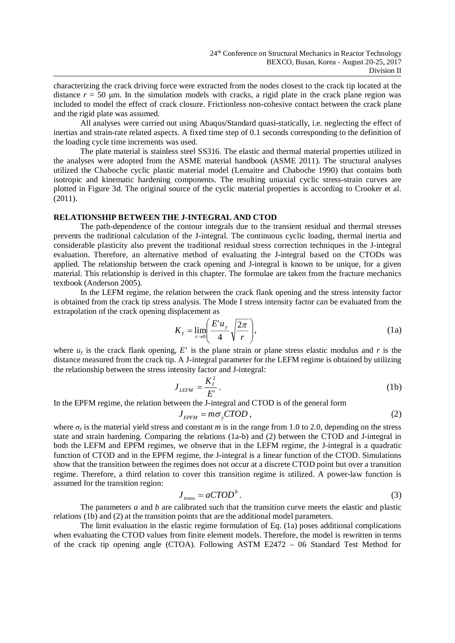characterizing the crack driving force were extracted from the nodes closest to the crack tip located at the distance  $r = 50$   $\mu$ m. In the simulation models with cracks, a rigid plate in the crack plane region was included to model the effect of crack closure. Frictionless non-cohesive contact between the crack plane and the rigid plate was assumed.

All analyses were carried out using Abaqus/Standard quasi-statically, i.e. neglecting the effect of inertias and strain-rate related aspects. A fixed time step of 0.1 seconds corresponding to the definition of the loading cycle time increments was used.

The plate material is stainless steel SS316. The elastic and thermal material properties utilized in the analyses were adopted from the ASME material handbook (ASME 2011). The structural analyses utilized the Chaboche cyclic plastic material model (Lemaitre and Chaboche 1990) that contains both isotropic and kinematic hardening components. The resulting uniaxial cyclic stress-strain curves are plotted in Figure 3d. The original source of the cyclic material properties is according to Crooker et al. (2011).

# **RELATIONSHIP BETWEEN THE J-INTEGRAL AND CTOD**

The path-dependence of the contour integrals due to the transient residual and thermal stresses prevents the traditional calculation of the J-integral. The continuous cyclic loading, thermal inertia and considerable plasticity also prevent the traditional residual stress correction techniques in the J-integral evaluation. Therefore, an alternative method of evaluating the J-integral based on the CTODs was applied. The relationship between the crack opening and J-integral is known to be unique, for a given material. This relationship is derived in this chapter. The formulae are taken from the fracture mechanics textbook (Anderson 2005).

In the LEFM regime, the relation between the crack flank opening and the stress intensity factor is obtained from the crack tip stress analysis. The Mode I stress intensity factor can be evaluated from the extrapolation of the crack opening displacement as

$$
K_{I} = \lim_{r \to 0} \left( \frac{E' u_{y}}{4} \sqrt{\frac{2\pi}{r}} \right),
$$
 (1a)

where  $u<sub>y</sub>$  is the crack flank opening,  $E<sup>y</sup>$  is the plane strain or plane stress elastic modulus and  $r$  is the distance measured from the crack tip. A J-integral parameter for the LEFM regime is obtained by utilizing the relationship between the stress intensity factor and J-integral:

$$
J_{LEFM} = \frac{K_I^2}{E'}.
$$
\n(1b)

In the EPFM regime, the relation between the J-integral and CTOD is of the general form

$$
J_{EPFM} = m\sigma_y CTOD , \qquad (2)
$$

where  $\sigma_y$  is the material yield stress and constant *m* is in the range from 1.0 to 2.0, depending on the stress state and strain hardening. Comparing the relations (1a-b) and (2) between the CTOD and J-integral in both the LEFM and EPFM regimes, we observe that in the LEFM regime, the J-integral is a quadratic function of CTOD and in the EPFM regime, the J-integral is a linear function of the CTOD. Simulations show that the transition between the regimes does not occur at a discrete CTOD point but over a transition regime. Therefore, a third relation to cover this transition regime is utilized. A power-law function is assumed for the transition region:

$$
J_{trans} = aCTOD^b.
$$
 (3)

The parameters *a* and *b* are calibrated such that the transition curve meets the elastic and plastic relations (1b) and (2) at the transition points that are the additional model parameters.

The limit evaluation in the elastic regime formulation of Eq. (1a) poses additional complications when evaluating the CTOD values from finite element models. Therefore, the model is rewritten in terms of the crack tip opening angle (CTOA). Following ASTM E2472 – 06 Standard Test Method for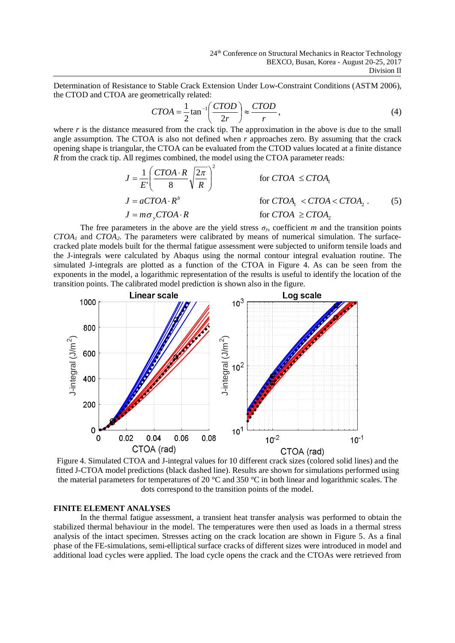Determination of Resistance to Stable Crack Extension Under Low-Constraint Conditions (ASTM 2006), the CTOD and CTOA are geometrically related:

$$
CTOA = \frac{1}{2} \tan^{-1} \left( \frac{CTOD}{2r} \right) \approx \frac{CTOD}{r},\tag{4}
$$

where  $r$  is the distance measured from the crack tip. The approximation in the above is due to the small angle assumption. The CTOA is also not defined when  $r$  approaches zero. By assuming that the crack opening shape is triangular, the CTOA can be evaluated from the CTOD values located at a finite distance *R* from the crack tip. All regimes combined, the model using the CTOA parameter reads:

$$
J = \frac{1}{E'} \left( \frac{CTOA \cdot R}{8} \sqrt{\frac{2\pi}{R}} \right)^2
$$
 for CTOA  $\leq CTOA_1$   
\n
$$
J = aCTOA \cdot R^b
$$
 for CTOA<sub>1</sub>  $\lt$  CTOA<sub>2</sub>. (5)  
\n
$$
J = m\sigma_y CTOA \cdot R
$$
 for CTOA  $\geq CTOA_2$  (5)

The free parameters in the above are the yield stress  $\sigma_y$ , coefficient *m* and the transition points *CTOA1* and *CTOA2*. The parameters were calibrated by means of numerical simulation. The surfacecracked plate models built for the thermal fatigue assessment were subjected to uniform tensile loads and the J-integrals were calculated by Abaqus using the normal contour integral evaluation routine. The simulated J-integrals are plotted as a function of the CTOA in Figure 4. As can be seen from the exponents in the model, a logarithmic representation of the results is useful to identify the location of the transition points. The calibrated model prediction is shown also in the figure.



Figure 4. Simulated CTOA and J-integral values for 10 different crack sizes (colored solid lines) and the fitted J-CTOA model predictions (black dashed line). Results are shown for simulations performed using the material parameters for temperatures of 20  $^{\circ}$ C and 350  $^{\circ}$ C in both linear and logarithmic scales. The dots correspond to the transition points of the model.

# **FINITE ELEMENT ANALYSES**

In the thermal fatigue assessment, a transient heat transfer analysis was performed to obtain the stabilized thermal behaviour in the model. The temperatures were then used as loads in a thermal stress analysis of the intact specimen. Stresses acting on the crack location are shown in Figure 5. As a final phase of the FE-simulations, semi-elliptical surface cracks of different sizes were introduced in model and additional load cycles were applied. The load cycle opens the crack and the CTOAs were retrieved from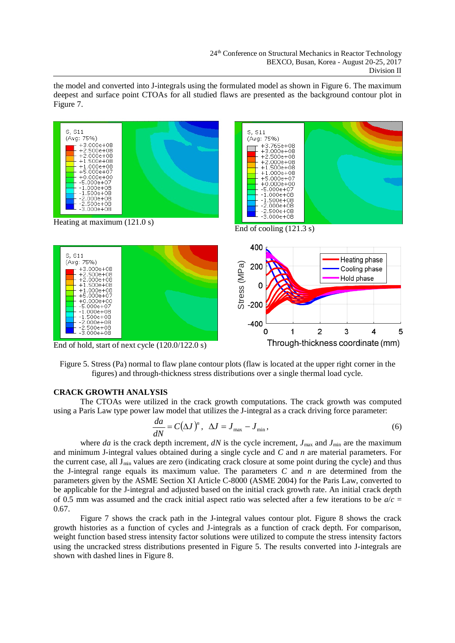the model and converted into J-integrals using the formulated model as shown in Figure 6. The maximum deepest and surface point CTOAs for all studied flaws are presented as the background contour plot in Figure 7.



Figure 5. Stress (Pa) normal to flaw plane contour plots (flaw is located at the upper right corner in the figures) and through-thickness stress distributions over a single thermal load cycle.

# **CRACK GROWTH ANALYSIS**

The CTOAs were utilized in the crack growth computations. The crack growth was computed using a Paris Law type power law model that utilizes the J-integral as a crack driving force parameter:

$$
\frac{da}{dN} = C(\Delta J)^n, \ \ \Delta J = J_{\text{max}} - J_{\text{min}}, \tag{6}
$$

where *da* is the crack depth increment, *dN* is the cycle increment,  $J_{\text{max}}$  and  $J_{\text{min}}$  are the maximum and minimum J-integral values obtained during a single cycle and *C* and *n* are material parameters. For the current case, all J<sub>min</sub> values are zero (indicating crack closure at some point during the cycle) and thus the J-integral range equals its maximum value. The parameters *C* and *n* are determined from the parameters given by the ASME Section XI Article C-8000 (ASME 2004) for the Paris Law, converted to be applicable for the J-integral and adjusted based on the initial crack growth rate. An initial crack depth of 0.5 mm was assumed and the crack initial aspect ratio was selected after a few iterations to be  $a/c =$ 0.67.

Figure 7 shows the crack path in the J-integral values contour plot. Figure 8 shows the crack growth histories as a function of cycles and J-integrals as a function of crack depth. For comparison, weight function based stress intensity factor solutions were utilized to compute the stress intensity factors using the uncracked stress distributions presented in Figure 5. The results converted into J-integrals are shown with dashed lines in Figure 8.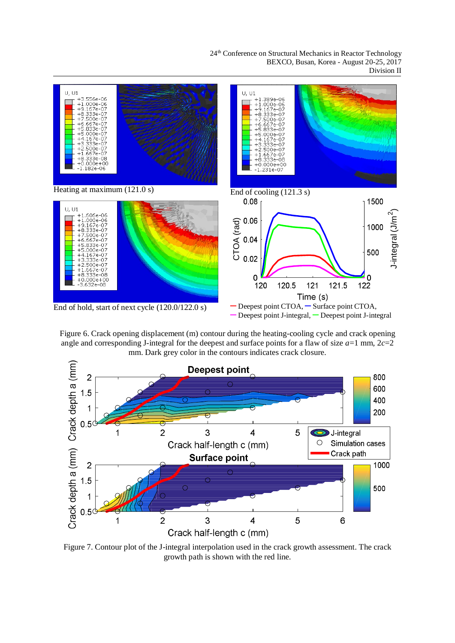24<sup>th</sup> Conference on Structural Mechanics in Reactor Technology BEXCO, Busan, Korea - August 20-25, 2017 Division II







Figure 7. Contour plot of the J-integral interpolation used in the crack growth assessment. The crack growth path is shown with the red line.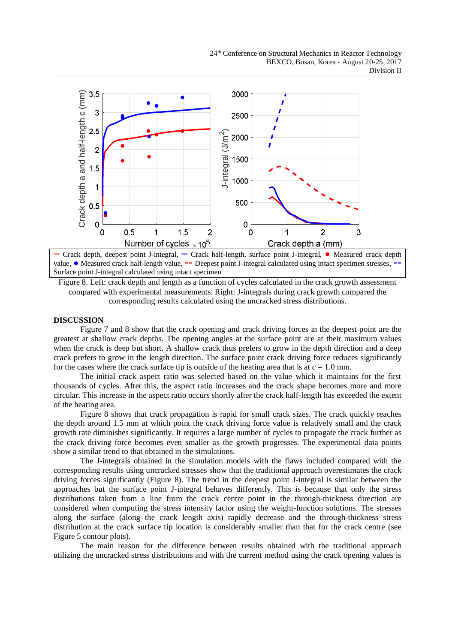

**–** Crack depth, deepest point J-integral, **–** Crack half-length, surface point J-integral, **Ɣ** Measured crack depth value, • Measured crack half-length value, **--** Deepest point J-integral calculated using intact specimen stresses, **·** Surface point J-integral calculated using intact specimen

Figure 8. Left: crack depth and length as a function of cycles calculated in the crack growth assessment compared with experimental measurements. Right: J-integrals during crack growth compared the corresponding results calculated using the uncracked stress distributions.

# **DISCUSSION**

Figure 7 and 8 show that the crack opening and crack driving forces in the deepest point are the greatest at shallow crack depths. The opening angles at the surface point are at their maximum values when the crack is deep but short. A shallow crack thus prefers to grow in the depth direction and a deep crack prefers to grow in the length direction. The surface point crack driving force reduces significantly for the cases where the crack surface tip is outside of the heating area that is at  $c = 1.0$  mm.

The initial crack aspect ratio was selected based on the value which it maintains for the first thousands of cycles. After this, the aspect ratio increases and the crack shape becomes more and more circular. This increase in the aspect ratio occurs shortly after the crack half-length has exceeded the extent of the heating area.

Figure 8 shows that crack propagation is rapid for small crack sizes. The crack quickly reaches the depth around 1.5 mm at which point the crack driving force value is relatively small and the crack growth rate diminishes significantly. It requires a large number of cycles to propagate the crack further as the crack driving force becomes even smaller as the growth progresses. The experimental data points show a similar trend to that obtained in the simulations.

The J-integrals obtained in the simulation models with the flaws included compared with the corresponding results using uncracked stresses show that the traditional approach overestimates the crack driving forces significantly (Figure 8). The trend in the deepest point J-integral is similar between the approaches but the surface point J-integral behaves differently. This is because that only the stress distributions taken from a line from the crack centre point in the through-thickness direction are considered when computing the stress intensity factor using the weight-function solutions. The stresses along the surface (along the crack length axis) rapidly decrease and the through-thickness stress distribution at the crack surface tip location is considerably smaller than that for the crack centre (see Figure 5 contour plots).

The main reason for the difference between results obtained with the traditional approach utilizing the uncracked stress distributions and with the current method using the crack opening values is